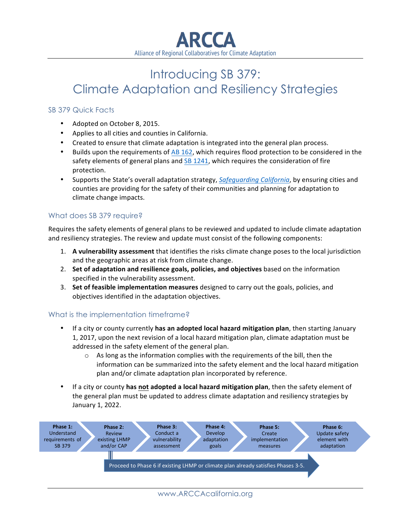

# Introducing SB 379: Climate Adaptation and Resiliency Strategies

#### SB 379 Quick Facts

- Adopted on October 8, 2015.
- Applies to all cities and counties in California.
- Created to ensure that climate adaptation is integrated into the general plan process.
- Builds upon the requirements of AB 162, which requires flood protection to be considered in the safety elements of general plans and  $SB$  1241, which requires the consideration of fire protection.
- Supports the State's overall adaptation strategy, *Safeguarding California*, by ensuring cities and counties are providing for the safety of their communities and planning for adaptation to climate change impacts.

#### What does SB 379 require?

Requires the safety elements of general plans to be reviewed and updated to include climate adaptation and resiliency strategies. The review and update must consist of the following components:

- 1. A vulnerability assessment that identifies the risks climate change poses to the local jurisdiction and the geographic areas at risk from climate change.
- 2. Set of adaptation and resilience goals, policies, and objectives based on the information specified in the vulnerability assessment.
- 3. Set of feasible implementation measures designed to carry out the goals, policies, and objectives identified in the adaptation objectives.

#### What is the implementation timeframe?

- If a city or county currently has an adopted local hazard mitigation plan, then starting January 1, 2017, upon the next revision of a local hazard mitigation plan, climate adaptation must be addressed in the safety element of the general plan.
	- $\circ$  As long as the information complies with the requirements of the bill, then the information can be summarized into the safety element and the local hazard mitigation plan and/or climate adaptation plan incorporated by reference.
- If a city or county has not adopted a local hazard mitigation plan, then the safety element of the general plan must be updated to address climate adaptation and resiliency strategies by January 1, 2022.